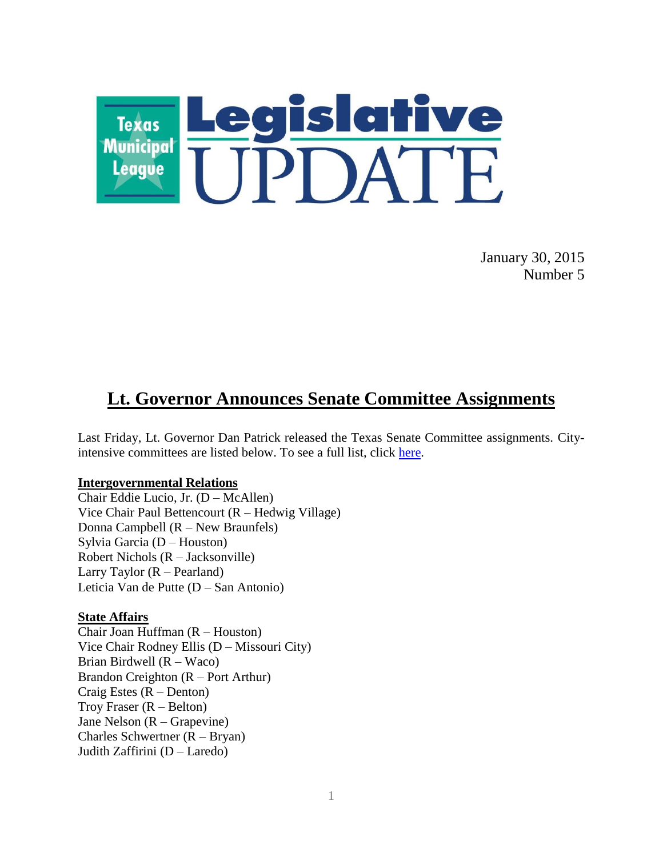

January 30, 2015 Number 5

# **Lt. Governor Announces Senate Committee Assignments**

Last Friday, Lt. Governor Dan Patrick released the Texas Senate Committee assignments. Cityintensive committees are listed below. To see a full list, click [here.](http://www.tml.org/p/SenateCommitteeAssignments_84th%20.pdf)

#### **Intergovernmental Relations**

Chair Eddie Lucio, Jr. (D – McAllen) Vice Chair Paul Bettencourt (R – Hedwig Village) Donna Campbell (R – New Braunfels) Sylvia Garcia (D – Houston) Robert Nichols (R – Jacksonville) Larry Taylor (R – Pearland) Leticia Van de Putte (D – San Antonio)

#### **State Affairs**

Chair Joan Huffman (R – Houston) Vice Chair Rodney Ellis (D – Missouri City) Brian Birdwell (R – Waco) Brandon Creighton (R – Port Arthur) Craig Estes  $(R - \text{Denton})$ Troy Fraser  $(R - Belton)$ Jane Nelson (R – Grapevine) Charles Schwertner (R – Bryan) Judith Zaffirini (D – Laredo)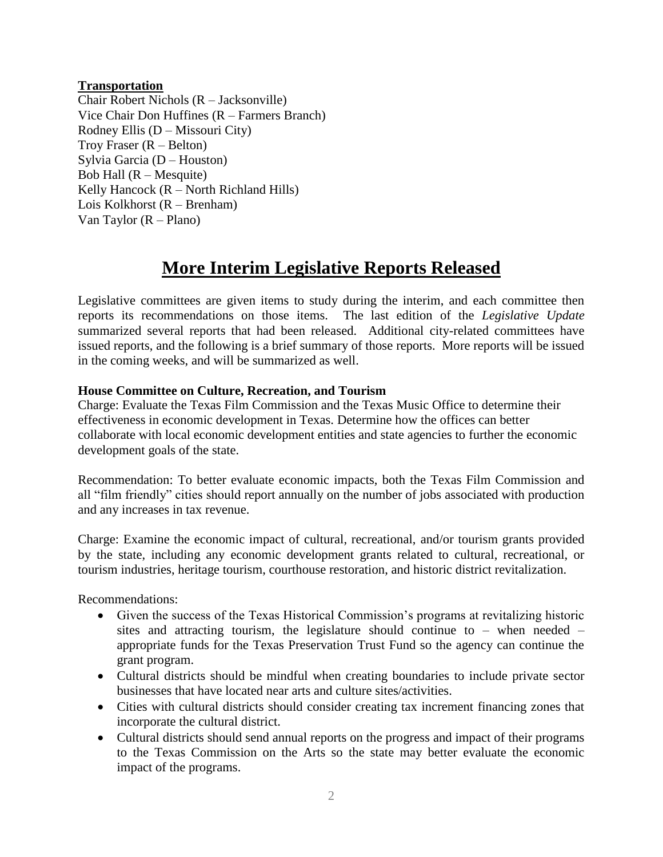## **Transportation**

Chair Robert Nichols (R – Jacksonville) Vice Chair Don Huffines (R – Farmers Branch) Rodney Ellis (D – Missouri City) Troy Fraser  $(R - Belton)$ Sylvia Garcia (D – Houston) Bob Hall  $(R - Mesquire)$ Kelly Hancock (R – North Richland Hills) Lois Kolkhorst (R – Brenham) Van Taylor (R – Plano)

# **More Interim Legislative Reports Released**

Legislative committees are given items to study during the interim, and each committee then reports its recommendations on those items. The last edition of the *Legislative Update* summarized several reports that had been released. Additional city-related committees have issued reports, and the following is a brief summary of those reports. More reports will be issued in the coming weeks, and will be summarized as well.

## **House Committee on Culture, Recreation, and Tourism**

Charge: Evaluate the Texas Film Commission and the Texas Music Office to determine their effectiveness in economic development in Texas. Determine how the offices can better collaborate with local economic development entities and state agencies to further the economic development goals of the state.

Recommendation: To better evaluate economic impacts, both the Texas Film Commission and all "film friendly" cities should report annually on the number of jobs associated with production and any increases in tax revenue.

Charge: Examine the economic impact of cultural, recreational, and/or tourism grants provided by the state, including any economic development grants related to cultural, recreational, or tourism industries, heritage tourism, courthouse restoration, and historic district revitalization.

Recommendations:

- Given the success of the Texas Historical Commission's programs at revitalizing historic sites and attracting tourism, the legislature should continue to – when needed – appropriate funds for the Texas Preservation Trust Fund so the agency can continue the grant program.
- Cultural districts should be mindful when creating boundaries to include private sector businesses that have located near arts and culture sites/activities.
- Cities with cultural districts should consider creating tax increment financing zones that incorporate the cultural district.
- Cultural districts should send annual reports on the progress and impact of their programs to the Texas Commission on the Arts so the state may better evaluate the economic impact of the programs.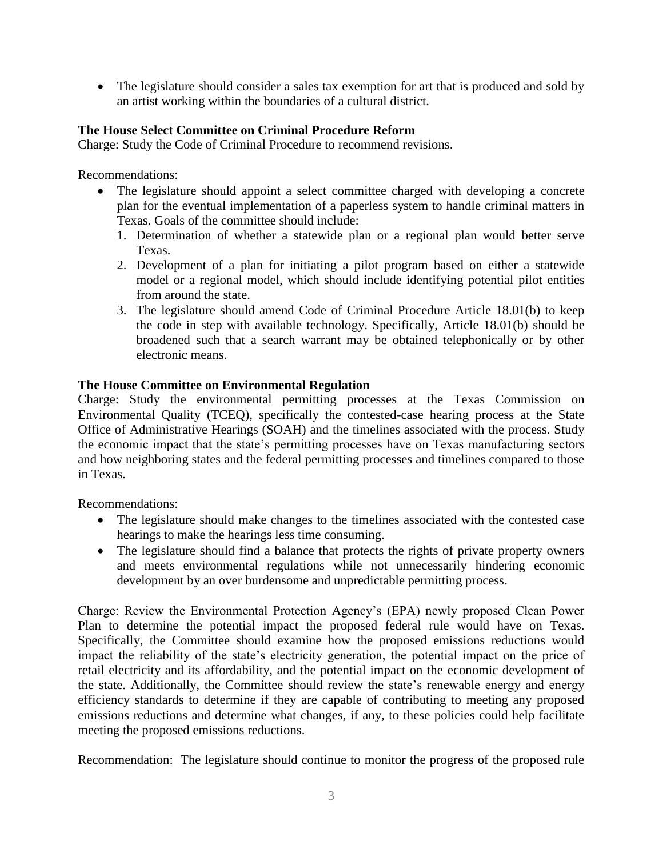• The legislature should consider a sales tax exemption for art that is produced and sold by an artist working within the boundaries of a cultural district.

## **The House Select Committee on Criminal Procedure Reform**

Charge: Study the Code of Criminal Procedure to recommend revisions.

Recommendations:

- The legislature should appoint a select committee charged with developing a concrete plan for the eventual implementation of a paperless system to handle criminal matters in Texas. Goals of the committee should include:
	- 1. Determination of whether a statewide plan or a regional plan would better serve Texas.
	- 2. Development of a plan for initiating a pilot program based on either a statewide model or a regional model, which should include identifying potential pilot entities from around the state.
	- 3. The legislature should amend Code of Criminal Procedure Article 18.01(b) to keep the code in step with available technology. Specifically, Article 18.01(b) should be broadened such that a search warrant may be obtained telephonically or by other electronic means.

## **The House Committee on Environmental Regulation**

Charge: Study the environmental permitting processes at the Texas Commission on Environmental Quality (TCEQ), specifically the contested-case hearing process at the State Office of Administrative Hearings (SOAH) and the timelines associated with the process. Study the economic impact that the state's permitting processes have on Texas manufacturing sectors and how neighboring states and the federal permitting processes and timelines compared to those in Texas.

Recommendations:

- The legislature should make changes to the timelines associated with the contested case hearings to make the hearings less time consuming.
- The legislature should find a balance that protects the rights of private property owners and meets environmental regulations while not unnecessarily hindering economic development by an over burdensome and unpredictable permitting process.

Charge: Review the Environmental Protection Agency's (EPA) newly proposed Clean Power Plan to determine the potential impact the proposed federal rule would have on Texas. Specifically, the Committee should examine how the proposed emissions reductions would impact the reliability of the state's electricity generation, the potential impact on the price of retail electricity and its affordability, and the potential impact on the economic development of the state. Additionally, the Committee should review the state's renewable energy and energy efficiency standards to determine if they are capable of contributing to meeting any proposed emissions reductions and determine what changes, if any, to these policies could help facilitate meeting the proposed emissions reductions.

Recommendation: The legislature should continue to monitor the progress of the proposed rule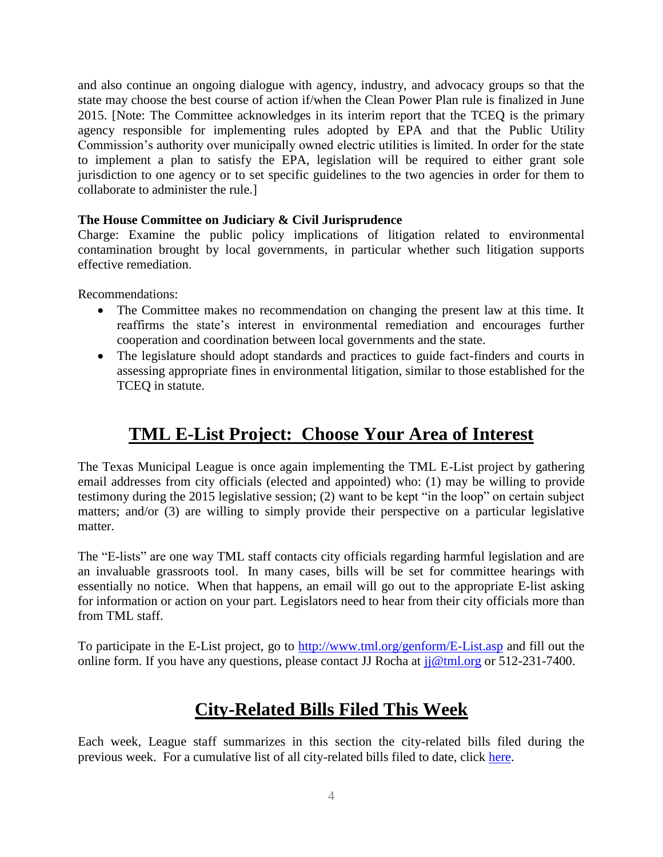and also continue an ongoing dialogue with agency, industry, and advocacy groups so that the state may choose the best course of action if/when the Clean Power Plan rule is finalized in June 2015. [Note: The Committee acknowledges in its interim report that the TCEQ is the primary agency responsible for implementing rules adopted by EPA and that the Public Utility Commission's authority over municipally owned electric utilities is limited. In order for the state to implement a plan to satisfy the EPA, legislation will be required to either grant sole jurisdiction to one agency or to set specific guidelines to the two agencies in order for them to collaborate to administer the rule.]

# **The House Committee on Judiciary & Civil Jurisprudence**

Charge: Examine the public policy implications of litigation related to environmental contamination brought by local governments, in particular whether such litigation supports effective remediation.

Recommendations:

- The Committee makes no recommendation on changing the present law at this time. It reaffirms the state's interest in environmental remediation and encourages further cooperation and coordination between local governments and the state.
- The legislature should adopt standards and practices to guide fact-finders and courts in assessing appropriate fines in environmental litigation, similar to those established for the TCEQ in statute.

# **TML E-List Project: Choose Your Area of Interest**

The Texas Municipal League is once again implementing the TML E-List project by gathering email addresses from city officials (elected and appointed) who: (1) may be willing to provide testimony during the 2015 legislative session; (2) want to be kept "in the loop" on certain subject matters; and/or (3) are willing to simply provide their perspective on a particular legislative matter.

The "E-lists" are one way TML staff contacts city officials regarding harmful legislation and are an invaluable grassroots tool. In many cases, bills will be set for committee hearings with essentially no notice. When that happens, an email will go out to the appropriate E-list asking for information or action on your part. Legislators need to hear from their city officials more than from TML staff.

To participate in the E-List project, go to<http://www.tml.org/genform/E-List.asp> and fill out the online form. If you have any questions, please contact JJ Rocha at  $ji@tml.org$  or 512-231-7400.

# **City-Related Bills Filed This Week**

Each week, League staff summarizes in this section the city-related bills filed during the previous week. For a cumulative list of all city-related bills filed to date, click [here.](http://www.tml.org/p/CityRelatedBills1_30_2015.pdf)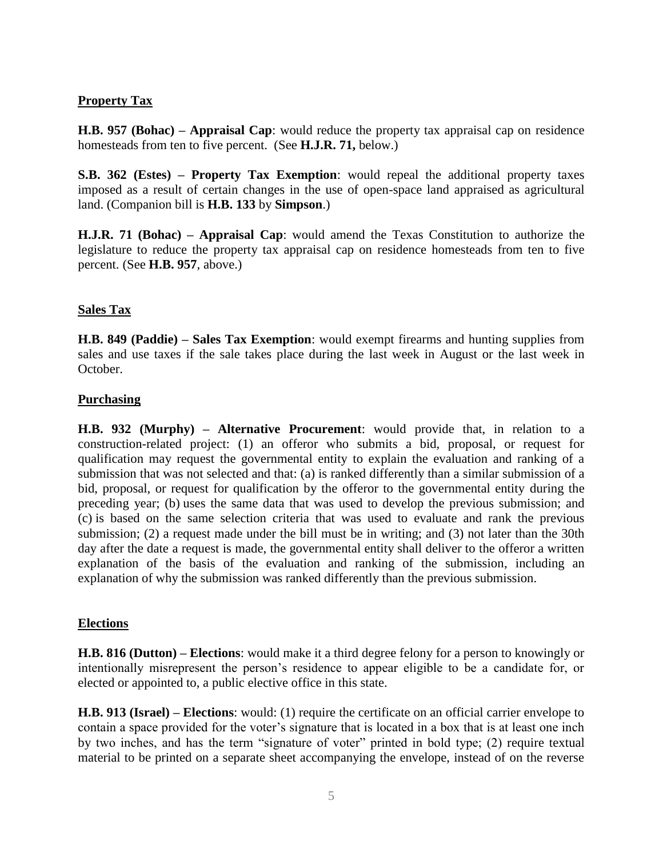# **Property Tax**

**H.B. 957 (Bohac) – Appraisal Cap**: would reduce the property tax appraisal cap on residence homesteads from ten to five percent. (See **H.J.R. 71,** below.)

**S.B. 362 (Estes) – Property Tax Exemption**: would repeal the additional property taxes imposed as a result of certain changes in the use of open-space land appraised as agricultural land. (Companion bill is **H.B. 133** by **Simpson**.)

**H.J.R. 71 (Bohac) – Appraisal Cap**: would amend the Texas Constitution to authorize the legislature to reduce the property tax appraisal cap on residence homesteads from ten to five percent. (See **H.B. 957**, above.)

# **Sales Tax**

**H.B. 849 (Paddie) – Sales Tax Exemption**: would exempt firearms and hunting supplies from sales and use taxes if the sale takes place during the last week in August or the last week in October.

## **Purchasing**

**H.B. 932 (Murphy) – Alternative Procurement**: would provide that, in relation to a construction-related project: (1) an offeror who submits a bid, proposal, or request for qualification may request the governmental entity to explain the evaluation and ranking of a submission that was not selected and that: (a) is ranked differently than a similar submission of a bid, proposal, or request for qualification by the offeror to the governmental entity during the preceding year; (b) uses the same data that was used to develop the previous submission; and (c) is based on the same selection criteria that was used to evaluate and rank the previous submission; (2) a request made under the bill must be in writing; and (3) not later than the 30th day after the date a request is made, the governmental entity shall deliver to the offeror a written explanation of the basis of the evaluation and ranking of the submission, including an explanation of why the submission was ranked differently than the previous submission.

#### **Elections**

**H.B. 816 (Dutton) – Elections**: would make it a third degree felony for a person to knowingly or intentionally misrepresent the person's residence to appear eligible to be a candidate for, or elected or appointed to, a public elective office in this state.

**H.B. 913 (Israel) – Elections**: would: (1) require the certificate on an official carrier envelope to contain a space provided for the voter's signature that is located in a box that is at least one inch by two inches, and has the term "signature of voter" printed in bold type; (2) require textual material to be printed on a separate sheet accompanying the envelope, instead of on the reverse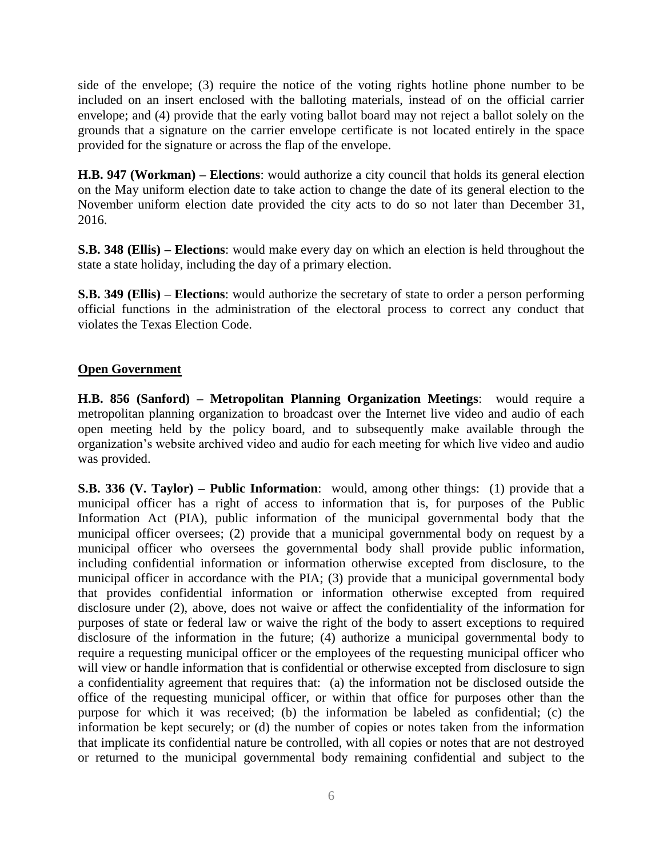side of the envelope; (3) require the notice of the voting rights hotline phone number to be included on an insert enclosed with the balloting materials, instead of on the official carrier envelope; and (4) provide that the early voting ballot board may not reject a ballot solely on the grounds that a signature on the carrier envelope certificate is not located entirely in the space provided for the signature or across the flap of the envelope.

**H.B. 947 (Workman) – Elections**: would authorize a city council that holds its general election on the May uniform election date to take action to change the date of its general election to the November uniform election date provided the city acts to do so not later than December 31, 2016.

**S.B. 348 (Ellis) – Elections**: would make every day on which an election is held throughout the state a state holiday, including the day of a primary election.

**S.B. 349 (Ellis) – Elections**: would authorize the secretary of state to order a person performing official functions in the administration of the electoral process to correct any conduct that violates the Texas Election Code.

## **Open Government**

**H.B. 856 (Sanford) – Metropolitan Planning Organization Meetings**: would require a metropolitan planning organization to broadcast over the Internet live video and audio of each open meeting held by the policy board, and to subsequently make available through the organization's website archived video and audio for each meeting for which live video and audio was provided.

**S.B. 336 (V. Taylor) – Public Information**: would, among other things: (1) provide that a municipal officer has a right of access to information that is, for purposes of the Public Information Act (PIA), public information of the municipal governmental body that the municipal officer oversees; (2) provide that a municipal governmental body on request by a municipal officer who oversees the governmental body shall provide public information, including confidential information or information otherwise excepted from disclosure, to the municipal officer in accordance with the PIA; (3) provide that a municipal governmental body that provides confidential information or information otherwise excepted from required disclosure under (2), above, does not waive or affect the confidentiality of the information for purposes of state or federal law or waive the right of the body to assert exceptions to required disclosure of the information in the future; (4) authorize a municipal governmental body to require a requesting municipal officer or the employees of the requesting municipal officer who will view or handle information that is confidential or otherwise excepted from disclosure to sign a confidentiality agreement that requires that: (a) the information not be disclosed outside the office of the requesting municipal officer, or within that office for purposes other than the purpose for which it was received; (b) the information be labeled as confidential; (c) the information be kept securely; or (d) the number of copies or notes taken from the information that implicate its confidential nature be controlled, with all copies or notes that are not destroyed or returned to the municipal governmental body remaining confidential and subject to the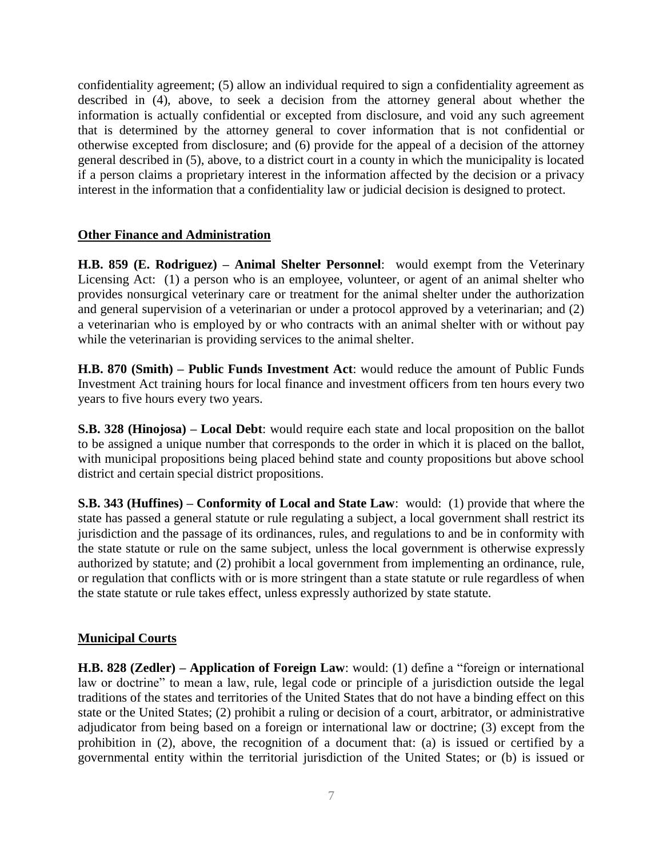confidentiality agreement; (5) allow an individual required to sign a confidentiality agreement as described in (4), above, to seek a decision from the attorney general about whether the information is actually confidential or excepted from disclosure, and void any such agreement that is determined by the attorney general to cover information that is not confidential or otherwise excepted from disclosure; and (6) provide for the appeal of a decision of the attorney general described in (5), above, to a district court in a county in which the municipality is located if a person claims a proprietary interest in the information affected by the decision or a privacy interest in the information that a confidentiality law or judicial decision is designed to protect.

# **Other Finance and Administration**

**H.B. 859 (E. Rodriguez) – Animal Shelter Personnel**: would exempt from the Veterinary Licensing Act: (1) a person who is an employee, volunteer, or agent of an animal shelter who provides nonsurgical veterinary care or treatment for the animal shelter under the authorization and general supervision of a veterinarian or under a protocol approved by a veterinarian; and (2) a veterinarian who is employed by or who contracts with an animal shelter with or without pay while the veterinarian is providing services to the animal shelter.

**H.B. 870 (Smith) – Public Funds Investment Act**: would reduce the amount of Public Funds Investment Act training hours for local finance and investment officers from ten hours every two years to five hours every two years.

**S.B. 328 (Hinojosa) – Local Debt**: would require each state and local proposition on the ballot to be assigned a unique number that corresponds to the order in which it is placed on the ballot, with municipal propositions being placed behind state and county propositions but above school district and certain special district propositions.

**S.B. 343 (Huffines) – Conformity of Local and State Law**: would: (1) provide that where the state has passed a general statute or rule regulating a subject, a local government shall restrict its jurisdiction and the passage of its ordinances, rules, and regulations to and be in conformity with the state statute or rule on the same subject, unless the local government is otherwise expressly authorized by statute; and (2) prohibit a local government from implementing an ordinance, rule, or regulation that conflicts with or is more stringent than a state statute or rule regardless of when the state statute or rule takes effect, unless expressly authorized by state statute.

# **Municipal Courts**

**H.B. 828 (Zedler) – Application of Foreign Law**: would: (1) define a "foreign or international law or doctrine" to mean a law, rule, legal code or principle of a jurisdiction outside the legal traditions of the states and territories of the United States that do not have a binding effect on this state or the United States; (2) prohibit a ruling or decision of a court, arbitrator, or administrative adjudicator from being based on a foreign or international law or doctrine; (3) except from the prohibition in (2), above, the recognition of a document that: (a) is issued or certified by a governmental entity within the territorial jurisdiction of the United States; or (b) is issued or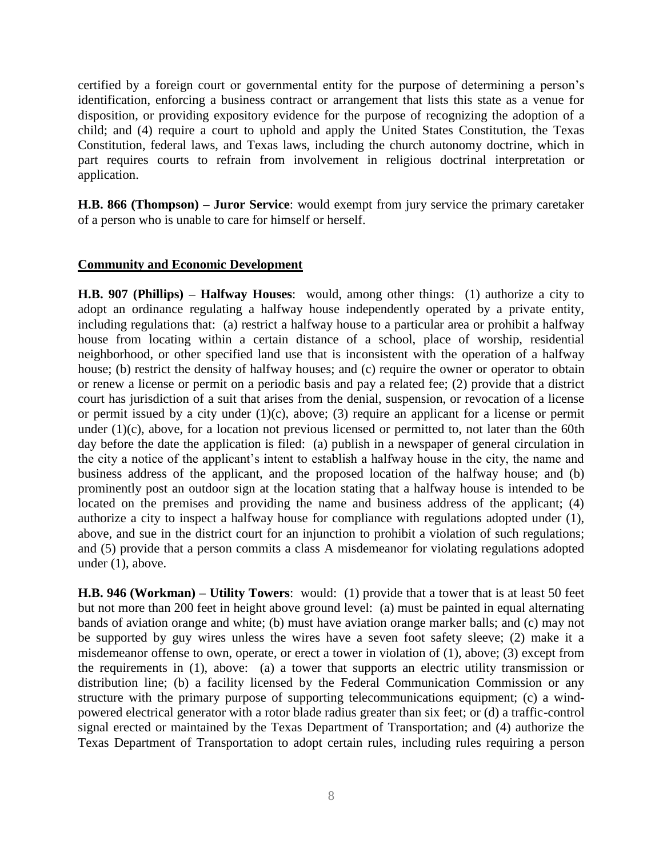certified by a foreign court or governmental entity for the purpose of determining a person's identification, enforcing a business contract or arrangement that lists this state as a venue for disposition, or providing expository evidence for the purpose of recognizing the adoption of a child; and (4) require a court to uphold and apply the United States Constitution, the Texas Constitution, federal laws, and Texas laws, including the church autonomy doctrine, which in part requires courts to refrain from involvement in religious doctrinal interpretation or application.

**H.B. 866 (Thompson) – Juror Service**: would exempt from jury service the primary caretaker of a person who is unable to care for himself or herself.

## **Community and Economic Development**

**H.B. 907 (Phillips) – Halfway Houses**: would, among other things: (1) authorize a city to adopt an ordinance regulating a halfway house independently operated by a private entity, including regulations that: (a) restrict a halfway house to a particular area or prohibit a halfway house from locating within a certain distance of a school, place of worship, residential neighborhood, or other specified land use that is inconsistent with the operation of a halfway house; (b) restrict the density of halfway houses; and (c) require the owner or operator to obtain or renew a license or permit on a periodic basis and pay a related fee; (2) provide that a district court has jurisdiction of a suit that arises from the denial, suspension, or revocation of a license or permit issued by a city under  $(1)(c)$ , above; (3) require an applicant for a license or permit under  $(1)(c)$ , above, for a location not previous licensed or permitted to, not later than the 60th day before the date the application is filed: (a) publish in a newspaper of general circulation in the city a notice of the applicant's intent to establish a halfway house in the city, the name and business address of the applicant, and the proposed location of the halfway house; and (b) prominently post an outdoor sign at the location stating that a halfway house is intended to be located on the premises and providing the name and business address of the applicant; (4) authorize a city to inspect a halfway house for compliance with regulations adopted under (1), above, and sue in the district court for an injunction to prohibit a violation of such regulations; and (5) provide that a person commits a class A misdemeanor for violating regulations adopted under (1), above.

**H.B. 946 (Workman) – Utility Towers**: would: (1) provide that a tower that is at least 50 feet but not more than 200 feet in height above ground level: (a) must be painted in equal alternating bands of aviation orange and white; (b) must have aviation orange marker balls; and (c) may not be supported by guy wires unless the wires have a seven foot safety sleeve; (2) make it a misdemeanor offense to own, operate, or erect a tower in violation of (1), above; (3) except from the requirements in (1), above: (a) a tower that supports an electric utility transmission or distribution line; (b) a facility licensed by the Federal Communication Commission or any structure with the primary purpose of supporting telecommunications equipment; (c) a windpowered electrical generator with a rotor blade radius greater than six feet; or (d) a traffic-control signal erected or maintained by the Texas Department of Transportation; and (4) authorize the Texas Department of Transportation to adopt certain rules, including rules requiring a person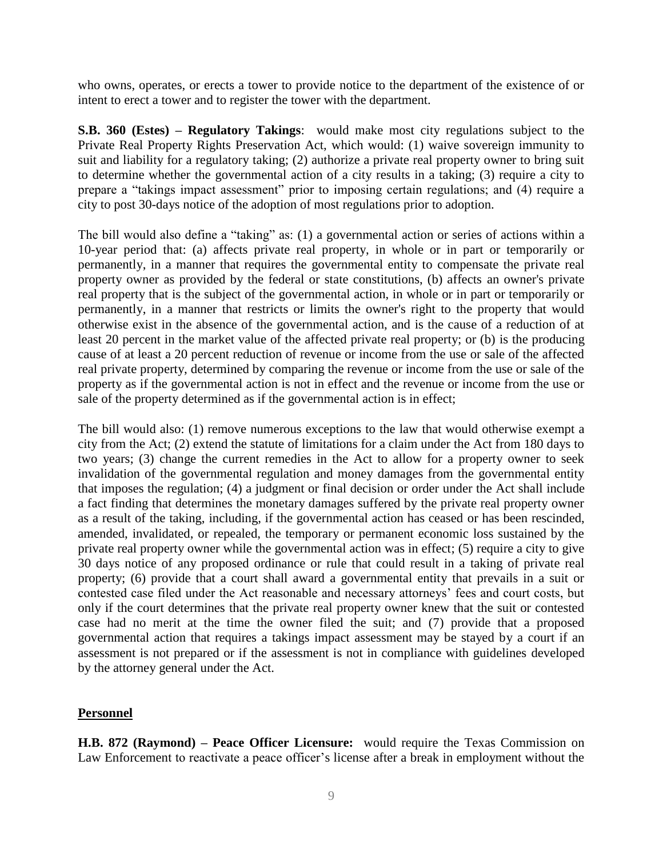who owns, operates, or erects a tower to provide notice to the department of the existence of or intent to erect a tower and to register the tower with the department.

**S.B. 360 (Estes) – Regulatory Takings**: would make most city regulations subject to the Private Real Property Rights Preservation Act, which would: (1) waive sovereign immunity to suit and liability for a regulatory taking; (2) authorize a private real property owner to bring suit to determine whether the governmental action of a city results in a taking; (3) require a city to prepare a "takings impact assessment" prior to imposing certain regulations; and (4) require a city to post 30-days notice of the adoption of most regulations prior to adoption.

The bill would also define a "taking" as: (1) a governmental action or series of actions within a 10-year period that: (a) affects private real property, in whole or in part or temporarily or permanently, in a manner that requires the governmental entity to compensate the private real property owner as provided by the federal or state constitutions, (b) affects an owner's private real property that is the subject of the governmental action, in whole or in part or temporarily or permanently, in a manner that restricts or limits the owner's right to the property that would otherwise exist in the absence of the governmental action, and is the cause of a reduction of at least 20 percent in the market value of the affected private real property; or (b) is the producing cause of at least a 20 percent reduction of revenue or income from the use or sale of the affected real private property, determined by comparing the revenue or income from the use or sale of the property as if the governmental action is not in effect and the revenue or income from the use or sale of the property determined as if the governmental action is in effect;

The bill would also: (1) remove numerous exceptions to the law that would otherwise exempt a city from the Act; (2) extend the statute of limitations for a claim under the Act from 180 days to two years; (3) change the current remedies in the Act to allow for a property owner to seek invalidation of the governmental regulation and money damages from the governmental entity that imposes the regulation; (4) a judgment or final decision or order under the Act shall include a fact finding that determines the monetary damages suffered by the private real property owner as a result of the taking, including, if the governmental action has ceased or has been rescinded, amended, invalidated, or repealed, the temporary or permanent economic loss sustained by the private real property owner while the governmental action was in effect; (5) require a city to give 30 days notice of any proposed ordinance or rule that could result in a taking of private real property; (6) provide that a court shall award a governmental entity that prevails in a suit or contested case filed under the Act reasonable and necessary attorneys' fees and court costs, but only if the court determines that the private real property owner knew that the suit or contested case had no merit at the time the owner filed the suit; and (7) provide that a proposed governmental action that requires a takings impact assessment may be stayed by a court if an assessment is not prepared or if the assessment is not in compliance with guidelines developed by the attorney general under the Act.

#### **Personnel**

**H.B. 872 (Raymond) – Peace Officer Licensure:** would require the Texas Commission on Law Enforcement to reactivate a peace officer's license after a break in employment without the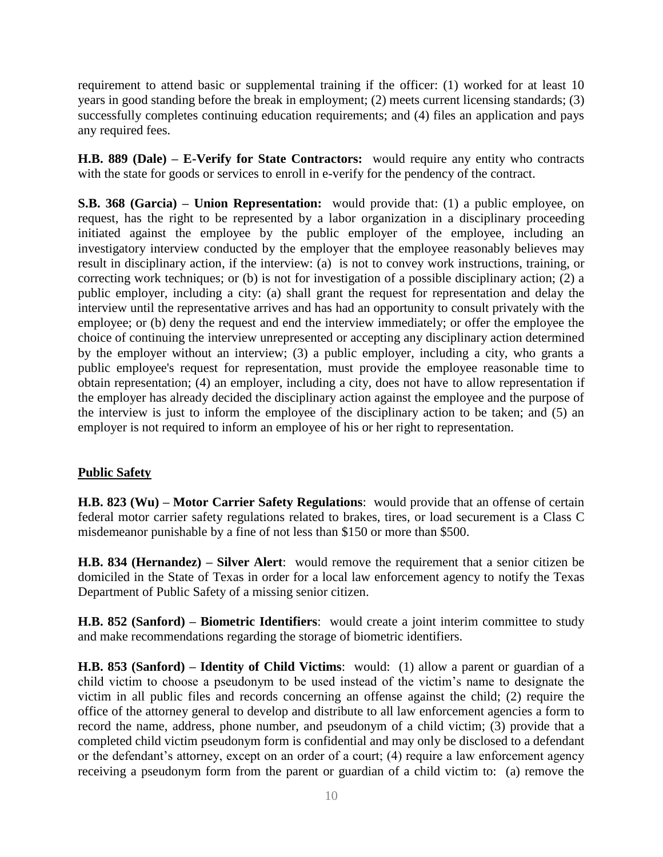requirement to attend basic or supplemental training if the officer: (1) worked for at least 10 years in good standing before the break in employment; (2) meets current licensing standards; (3) successfully completes continuing education requirements; and (4) files an application and pays any required fees.

**H.B. 889 (Dale) – E-Verify for State Contractors:** would require any entity who contracts with the state for goods or services to enroll in e-verify for the pendency of the contract.

**S.B. 368 (Garcia) – Union Representation:** would provide that: (1) a public employee, on request, has the right to be represented by a labor organization in a disciplinary proceeding initiated against the employee by the public employer of the employee, including an investigatory interview conducted by the employer that the employee reasonably believes may result in disciplinary action, if the interview: (a) is not to convey work instructions, training, or correcting work techniques; or (b) is not for investigation of a possible disciplinary action; (2) a public employer, including a city: (a) shall grant the request for representation and delay the interview until the representative arrives and has had an opportunity to consult privately with the employee; or (b) deny the request and end the interview immediately; or offer the employee the choice of continuing the interview unrepresented or accepting any disciplinary action determined by the employer without an interview; (3) a public employer, including a city, who grants a public employee's request for representation, must provide the employee reasonable time to obtain representation; (4) an employer, including a city, does not have to allow representation if the employer has already decided the disciplinary action against the employee and the purpose of the interview is just to inform the employee of the disciplinary action to be taken; and (5) an employer is not required to inform an employee of his or her right to representation.

# **Public Safety**

**H.B. 823 (Wu) – Motor Carrier Safety Regulations**: would provide that an offense of certain federal motor carrier safety regulations related to brakes, tires, or load securement is a Class C misdemeanor punishable by a fine of not less than \$150 or more than \$500.

**H.B. 834 (Hernandez) – Silver Alert**: would remove the requirement that a senior citizen be domiciled in the State of Texas in order for a local law enforcement agency to notify the Texas Department of Public Safety of a missing senior citizen.

**H.B. 852 (Sanford) – Biometric Identifiers**: would create a joint interim committee to study and make recommendations regarding the storage of biometric identifiers.

**H.B. 853 (Sanford) – Identity of Child Victims**: would: (1) allow a parent or guardian of a child victim to choose a pseudonym to be used instead of the victim's name to designate the victim in all public files and records concerning an offense against the child; (2) require the office of the attorney general to develop and distribute to all law enforcement agencies a form to record the name, address, phone number, and pseudonym of a child victim; (3) provide that a completed child victim pseudonym form is confidential and may only be disclosed to a defendant or the defendant's attorney, except on an order of a court; (4) require a law enforcement agency receiving a pseudonym form from the parent or guardian of a child victim to: (a) remove the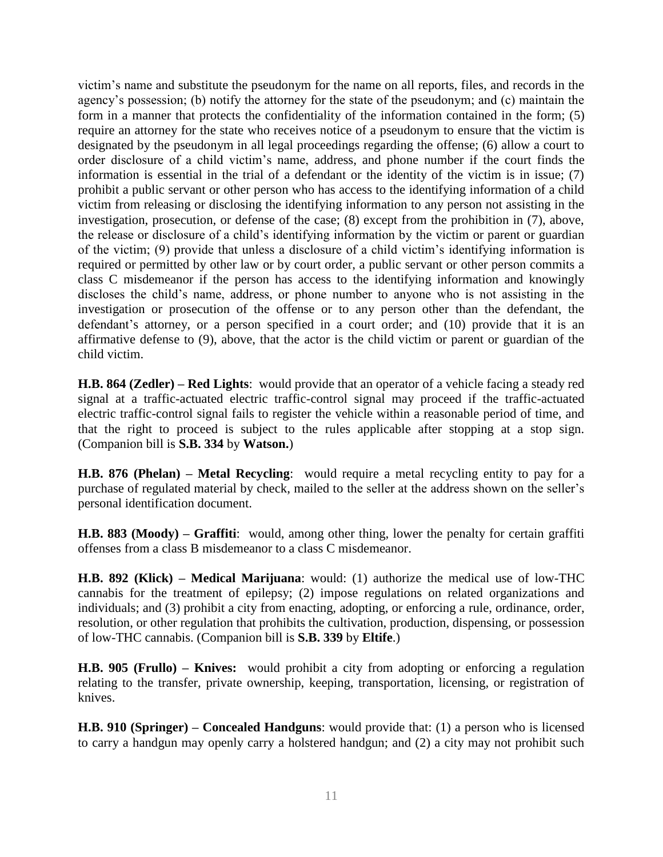victim's name and substitute the pseudonym for the name on all reports, files, and records in the agency's possession; (b) notify the attorney for the state of the pseudonym; and (c) maintain the form in a manner that protects the confidentiality of the information contained in the form; (5) require an attorney for the state who receives notice of a pseudonym to ensure that the victim is designated by the pseudonym in all legal proceedings regarding the offense; (6) allow a court to order disclosure of a child victim's name, address, and phone number if the court finds the information is essential in the trial of a defendant or the identity of the victim is in issue; (7) prohibit a public servant or other person who has access to the identifying information of a child victim from releasing or disclosing the identifying information to any person not assisting in the investigation, prosecution, or defense of the case; (8) except from the prohibition in (7), above, the release or disclosure of a child's identifying information by the victim or parent or guardian of the victim; (9) provide that unless a disclosure of a child victim's identifying information is required or permitted by other law or by court order, a public servant or other person commits a class C misdemeanor if the person has access to the identifying information and knowingly discloses the child's name, address, or phone number to anyone who is not assisting in the investigation or prosecution of the offense or to any person other than the defendant, the defendant's attorney, or a person specified in a court order; and (10) provide that it is an affirmative defense to (9), above, that the actor is the child victim or parent or guardian of the child victim.

**H.B. 864 (Zedler) – Red Lights**: would provide that an operator of a vehicle facing a steady red signal at a traffic-actuated electric traffic-control signal may proceed if the traffic-actuated electric traffic-control signal fails to register the vehicle within a reasonable period of time, and that the right to proceed is subject to the rules applicable after stopping at a stop sign. (Companion bill is **S.B. 334** by **Watson.**)

**H.B. 876 (Phelan) – Metal Recycling**: would require a metal recycling entity to pay for a purchase of regulated material by check, mailed to the seller at the address shown on the seller's personal identification document.

**H.B. 883 (Moody) – Graffiti**: would, among other thing, lower the penalty for certain graffiti offenses from a class B misdemeanor to a class C misdemeanor.

**H.B. 892 (Klick) – Medical Marijuana**: would: (1) authorize the medical use of low-THC cannabis for the treatment of epilepsy; (2) impose regulations on related organizations and individuals; and (3) prohibit a city from enacting, adopting, or enforcing a rule, ordinance, order, resolution, or other regulation that prohibits the cultivation, production, dispensing, or possession of low-THC cannabis. (Companion bill is **S.B. 339** by **Eltife**.)

**H.B. 905 (Frullo) – Knives:** would prohibit a city from adopting or enforcing a regulation relating to the transfer, private ownership, keeping, transportation, licensing, or registration of knives.

**H.B. 910 (Springer) – Concealed Handguns**: would provide that: (1) a person who is licensed to carry a handgun may openly carry a holstered handgun; and (2) a city may not prohibit such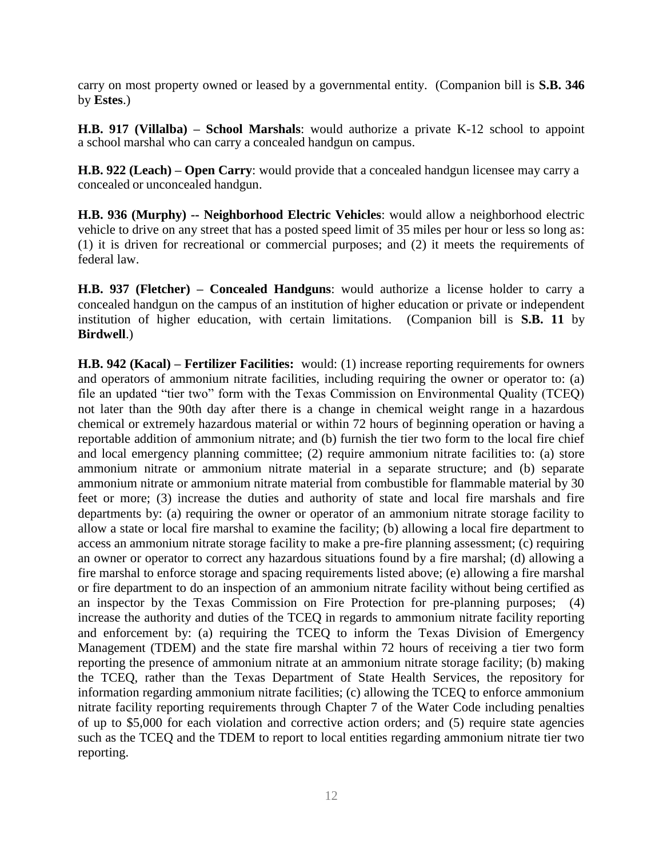carry on most property owned or leased by a governmental entity. (Companion bill is **S.B. 346** by **Estes**.)

**H.B. 917 (Villalba) – School Marshals**: would authorize a private K-12 school to appoint a school marshal who can carry a concealed handgun on campus.

**H.B. 922 (Leach) – Open Carry**: would provide that a concealed handgun licensee may carry a concealed or unconcealed handgun.

**H.B. 936 (Murphy) -- Neighborhood Electric Vehicles**: would allow a neighborhood electric vehicle to drive on any street that has a posted speed limit of 35 miles per hour or less so long as: (1) it is driven for recreational or commercial purposes; and (2) it meets the requirements of federal law.

**H.B. 937 (Fletcher) – Concealed Handguns**: would authorize a license holder to carry a concealed handgun on the campus of an institution of higher education or private or independent institution of higher education, with certain limitations. (Companion bill is **S.B. 11** by **Birdwell**.)

**H.B. 942 (Kacal) – Fertilizer Facilities:** would: (1) increase reporting requirements for owners and operators of ammonium nitrate facilities, including requiring the owner or operator to: (a) file an updated "tier two" form with the Texas Commission on Environmental Quality (TCEQ) not later than the 90th day after there is a change in chemical weight range in a hazardous chemical or extremely hazardous material or within 72 hours of beginning operation or having a reportable addition of ammonium nitrate; and (b) furnish the tier two form to the local fire chief and local emergency planning committee; (2) require ammonium nitrate facilities to: (a) store ammonium nitrate or ammonium nitrate material in a separate structure; and (b) separate ammonium nitrate or ammonium nitrate material from combustible for flammable material by 30 feet or more; (3) increase the duties and authority of state and local fire marshals and fire departments by: (a) requiring the owner or operator of an ammonium nitrate storage facility to allow a state or local fire marshal to examine the facility; (b) allowing a local fire department to access an ammonium nitrate storage facility to make a pre-fire planning assessment; (c) requiring an owner or operator to correct any hazardous situations found by a fire marshal; (d) allowing a fire marshal to enforce storage and spacing requirements listed above; (e) allowing a fire marshal or fire department to do an inspection of an ammonium nitrate facility without being certified as an inspector by the Texas Commission on Fire Protection for pre-planning purposes; (4) increase the authority and duties of the TCEQ in regards to ammonium nitrate facility reporting and enforcement by: (a) requiring the TCEQ to inform the Texas Division of Emergency Management (TDEM) and the state fire marshal within 72 hours of receiving a tier two form reporting the presence of ammonium nitrate at an ammonium nitrate storage facility; (b) making the TCEQ, rather than the Texas Department of State Health Services, the repository for information regarding ammonium nitrate facilities; (c) allowing the TCEQ to enforce ammonium nitrate facility reporting requirements through Chapter 7 of the Water Code including penalties of up to \$5,000 for each violation and corrective action orders; and (5) require state agencies such as the TCEQ and the TDEM to report to local entities regarding ammonium nitrate tier two reporting.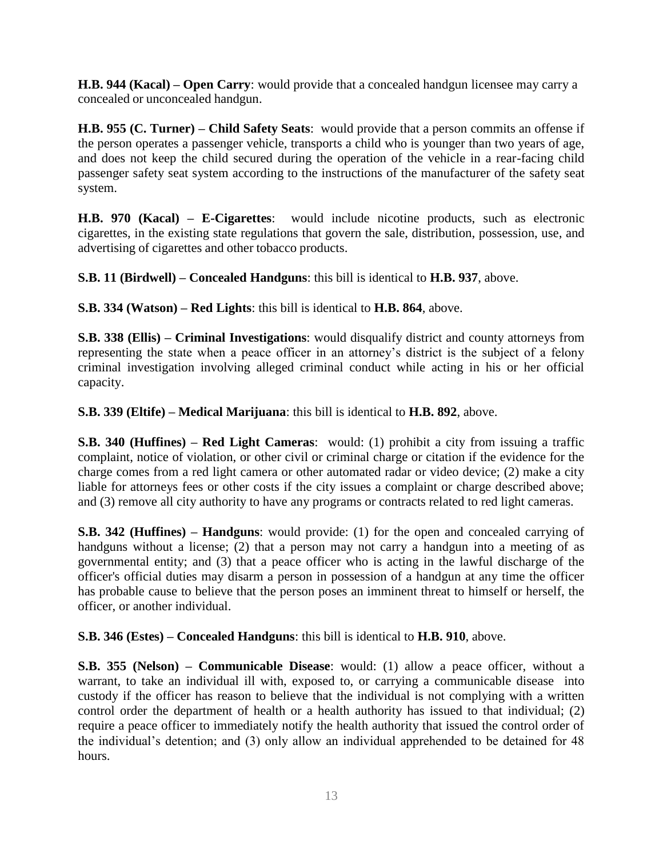**H.B. 944 (Kacal) – Open Carry**: would provide that a concealed handgun licensee may carry a concealed or unconcealed handgun.

**H.B. 955 (C. Turner) – Child Safety Seats**: would provide that a person commits an offense if the person operates a passenger vehicle, transports a child who is younger than two years of age, and does not keep the child secured during the operation of the vehicle in a rear-facing child passenger safety seat system according to the instructions of the manufacturer of the safety seat system.

**H.B. 970 (Kacal) – E-Cigarettes**: would include nicotine products, such as electronic cigarettes, in the existing state regulations that govern the sale, distribution, possession, use, and advertising of cigarettes and other tobacco products.

**S.B. 11 (Birdwell) – Concealed Handguns**: this bill is identical to **H.B. 937**, above.

**S.B. 334 (Watson) – Red Lights**: this bill is identical to **H.B. 864**, above.

**S.B. 338 (Ellis) – Criminal Investigations**: would disqualify district and county attorneys from representing the state when a peace officer in an attorney's district is the subject of a felony criminal investigation involving alleged criminal conduct while acting in his or her official capacity.

**S.B. 339 (Eltife) – Medical Marijuana**: this bill is identical to **H.B. 892**, above.

**S.B. 340 (Huffines) – Red Light Cameras**: would: (1) prohibit a city from issuing a traffic complaint, notice of violation, or other civil or criminal charge or citation if the evidence for the charge comes from a red light camera or other automated radar or video device; (2) make a city liable for attorneys fees or other costs if the city issues a complaint or charge described above; and (3) remove all city authority to have any programs or contracts related to red light cameras.

**S.B. 342 (Huffines) – Handguns**: would provide: (1) for the open and concealed carrying of handguns without a license; (2) that a person may not carry a handgun into a meeting of as governmental entity; and (3) that a peace officer who is acting in the lawful discharge of the officer's official duties may disarm a person in possession of a handgun at any time the officer has probable cause to believe that the person poses an imminent threat to himself or herself, the officer, or another individual.

**S.B. 346 (Estes) – Concealed Handguns**: this bill is identical to **H.B. 910**, above.

**S.B. 355 (Nelson) – Communicable Disease**: would: (1) allow a peace officer, without a warrant, to take an individual ill with, exposed to, or carrying a communicable disease into custody if the officer has reason to believe that the individual is not complying with a written control order the department of health or a health authority has issued to that individual; (2) require a peace officer to immediately notify the health authority that issued the control order of the individual's detention; and (3) only allow an individual apprehended to be detained for 48 hours.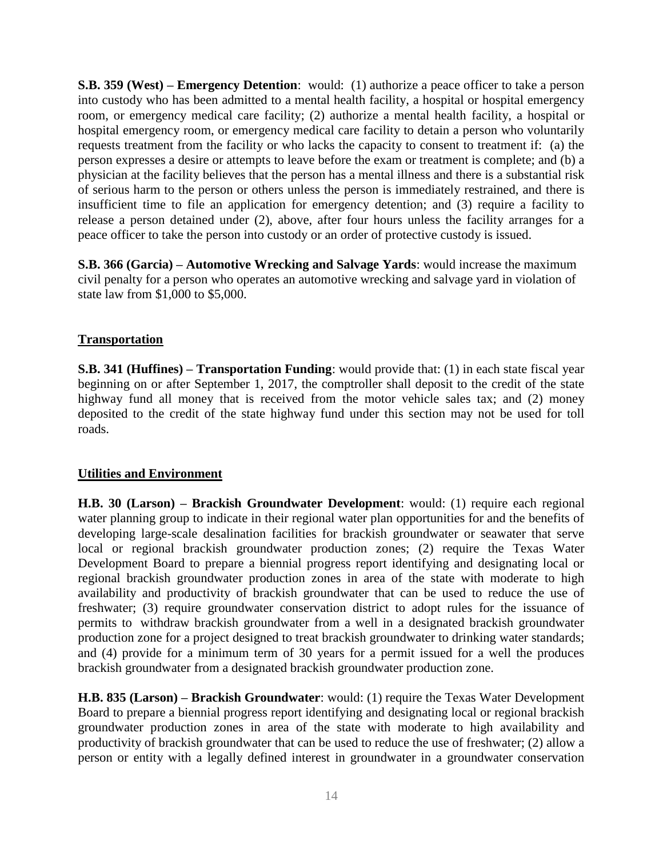**S.B. 359 (West) – Emergency Detention**: would: (1) authorize a peace officer to take a person into custody who has been admitted to a mental health facility, a hospital or hospital emergency room, or emergency medical care facility; (2) authorize a mental health facility, a hospital or hospital emergency room, or emergency medical care facility to detain a person who voluntarily requests treatment from the facility or who lacks the capacity to consent to treatment if: (a) the person expresses a desire or attempts to leave before the exam or treatment is complete; and (b) a physician at the facility believes that the person has a mental illness and there is a substantial risk of serious harm to the person or others unless the person is immediately restrained, and there is insufficient time to file an application for emergency detention; and (3) require a facility to release a person detained under (2), above, after four hours unless the facility arranges for a peace officer to take the person into custody or an order of protective custody is issued.

**S.B. 366 (Garcia) – Automotive Wrecking and Salvage Yards**: would increase the maximum civil penalty for a person who operates an automotive wrecking and salvage yard in violation of state law from \$1,000 to \$5,000.

## **Transportation**

**S.B. 341 (Huffines) – Transportation Funding**: would provide that: (1) in each state fiscal year beginning on or after September 1, 2017, the comptroller shall deposit to the credit of the state highway fund all money that is received from the motor vehicle sales tax; and (2) money deposited to the credit of the state highway fund under this section may not be used for toll roads.

#### **Utilities and Environment**

**H.B. 30 (Larson) – Brackish Groundwater Development**: would: (1) require each regional water planning group to indicate in their regional water plan opportunities for and the benefits of developing large-scale desalination facilities for brackish groundwater or seawater that serve local or regional brackish groundwater production zones; (2) require the Texas Water Development Board to prepare a biennial progress report identifying and designating local or regional brackish groundwater production zones in area of the state with moderate to high availability and productivity of brackish groundwater that can be used to reduce the use of freshwater; (3) require groundwater conservation district to adopt rules for the issuance of permits to withdraw brackish groundwater from a well in a designated brackish groundwater production zone for a project designed to treat brackish groundwater to drinking water standards; and (4) provide for a minimum term of 30 years for a permit issued for a well the produces brackish groundwater from a designated brackish groundwater production zone.

**H.B. 835 (Larson) – Brackish Groundwater**: would: (1) require the Texas Water Development Board to prepare a biennial progress report identifying and designating local or regional brackish groundwater production zones in area of the state with moderate to high availability and productivity of brackish groundwater that can be used to reduce the use of freshwater; (2) allow a person or entity with a legally defined interest in groundwater in a groundwater conservation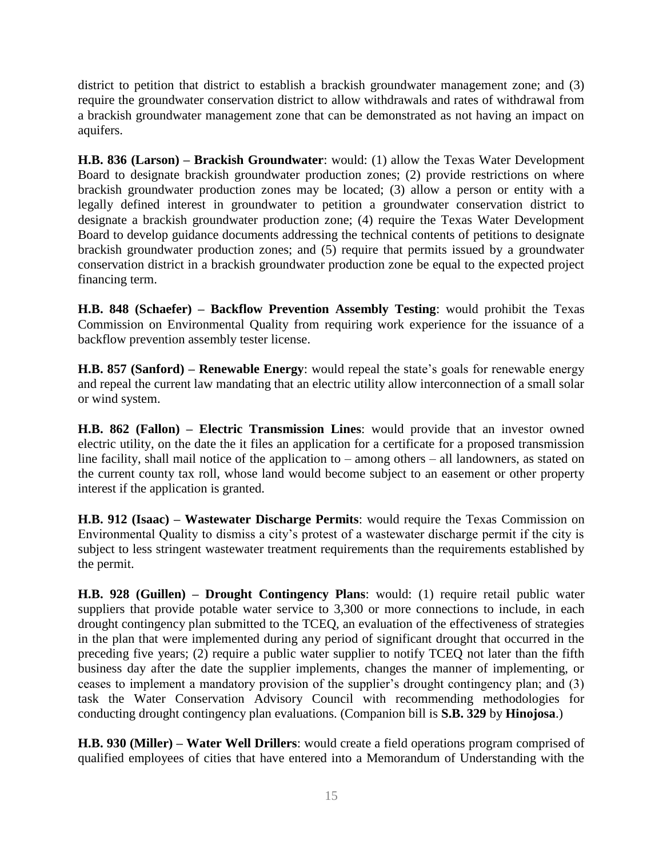district to petition that district to establish a brackish groundwater management zone; and (3) require the groundwater conservation district to allow withdrawals and rates of withdrawal from a brackish groundwater management zone that can be demonstrated as not having an impact on aquifers.

**H.B. 836 (Larson) – Brackish Groundwater**: would: (1) allow the Texas Water Development Board to designate brackish groundwater production zones; (2) provide restrictions on where brackish groundwater production zones may be located; (3) allow a person or entity with a legally defined interest in groundwater to petition a groundwater conservation district to designate a brackish groundwater production zone; (4) require the Texas Water Development Board to develop guidance documents addressing the technical contents of petitions to designate brackish groundwater production zones; and (5) require that permits issued by a groundwater conservation district in a brackish groundwater production zone be equal to the expected project financing term.

**H.B. 848 (Schaefer) – Backflow Prevention Assembly Testing**: would prohibit the Texas Commission on Environmental Quality from requiring work experience for the issuance of a backflow prevention assembly tester license.

**H.B. 857 (Sanford) – Renewable Energy**: would repeal the state's goals for renewable energy and repeal the current law mandating that an electric utility allow interconnection of a small solar or wind system.

**H.B. 862 (Fallon) – Electric Transmission Lines**: would provide that an investor owned electric utility, on the date the it files an application for a certificate for a proposed transmission line facility, shall mail notice of the application to – among others – all landowners, as stated on the current county tax roll, whose land would become subject to an easement or other property interest if the application is granted.

**H.B. 912 (Isaac) – Wastewater Discharge Permits**: would require the Texas Commission on Environmental Quality to dismiss a city's protest of a wastewater discharge permit if the city is subject to less stringent wastewater treatment requirements than the requirements established by the permit.

**H.B. 928 (Guillen) – Drought Contingency Plans**: would: (1) require retail public water suppliers that provide potable water service to 3,300 or more connections to include, in each drought contingency plan submitted to the TCEQ, an evaluation of the effectiveness of strategies in the plan that were implemented during any period of significant drought that occurred in the preceding five years; (2) require a public water supplier to notify TCEQ not later than the fifth business day after the date the supplier implements, changes the manner of implementing, or ceases to implement a mandatory provision of the supplier's drought contingency plan; and (3) task the Water Conservation Advisory Council with recommending methodologies for conducting drought contingency plan evaluations. (Companion bill is **S.B. 329** by **Hinojosa**.)

**H.B. 930 (Miller) – Water Well Drillers**: would create a field operations program comprised of qualified employees of cities that have entered into a Memorandum of Understanding with the